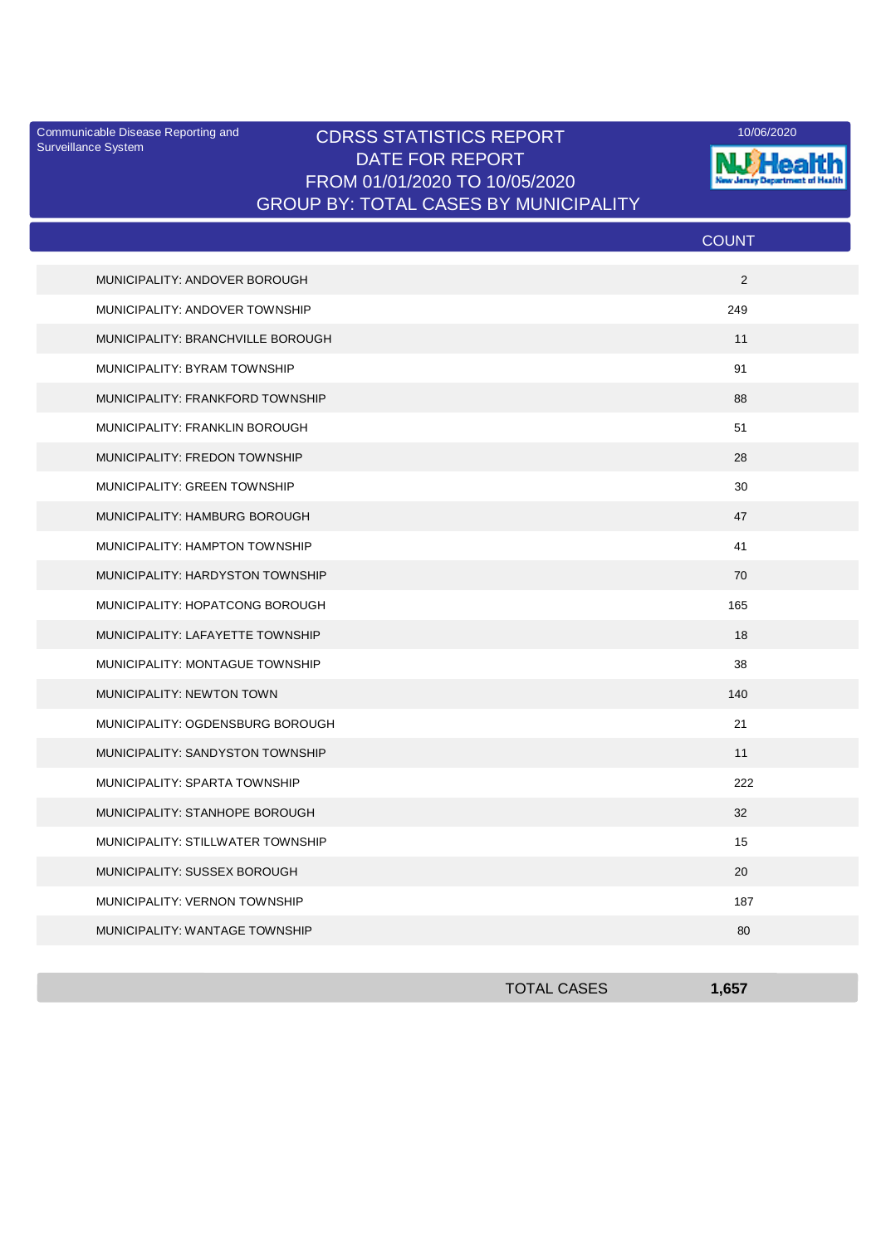Surveillance System

## Communicable Disease Reporting and **CDRSS STATISTICS REPORT** 10/06/2020<br>Surveillance Statem DATE FOR REPORT FROM 01/01/2020 TO 10/05/2020 GROUP BY: TOTAL CASES BY MUNICIPALITY



|                                   | <b>COUNT</b> |
|-----------------------------------|--------------|
| MUNICIPALITY: ANDOVER BOROUGH     | 2            |
| MUNICIPALITY: ANDOVER TOWNSHIP    | 249          |
| MUNICIPALITY: BRANCHVILLE BOROUGH | 11           |
| MUNICIPALITY: BYRAM TOWNSHIP      | 91           |
| MUNICIPALITY: FRANKFORD TOWNSHIP  | 88           |
| MUNICIPALITY: FRANKLIN BOROUGH    | 51           |
| MUNICIPALITY: FREDON TOWNSHIP     | 28           |
| MUNICIPALITY: GREEN TOWNSHIP      | 30           |
| MUNICIPALITY: HAMBURG BOROUGH     | 47           |
| MUNICIPALITY: HAMPTON TOWNSHIP    | 41           |
| MUNICIPALITY: HARDYSTON TOWNSHIP  | 70           |
| MUNICIPALITY: HOPATCONG BOROUGH   | 165          |
| MUNICIPALITY: LAFAYETTE TOWNSHIP  | 18           |
| MUNICIPALITY: MONTAGUE TOWNSHIP   | 38           |
| <b>MUNICIPALITY: NEWTON TOWN</b>  | 140          |
| MUNICIPALITY: OGDENSBURG BOROUGH  | 21           |
| MUNICIPALITY: SANDYSTON TOWNSHIP  | 11           |
| MUNICIPALITY: SPARTA TOWNSHIP     | 222          |
| MUNICIPALITY: STANHOPE BOROUGH    | 32           |
| MUNICIPALITY: STILLWATER TOWNSHIP | 15           |
| MUNICIPALITY: SUSSEX BOROUGH      | 20           |
| MUNICIPALITY: VERNON TOWNSHIP     | 187          |
| MUNICIPALITY: WANTAGE TOWNSHIP    | 80           |

| <b>TOTAL CASES</b> | <b>CET</b> |
|--------------------|------------|
|                    |            |